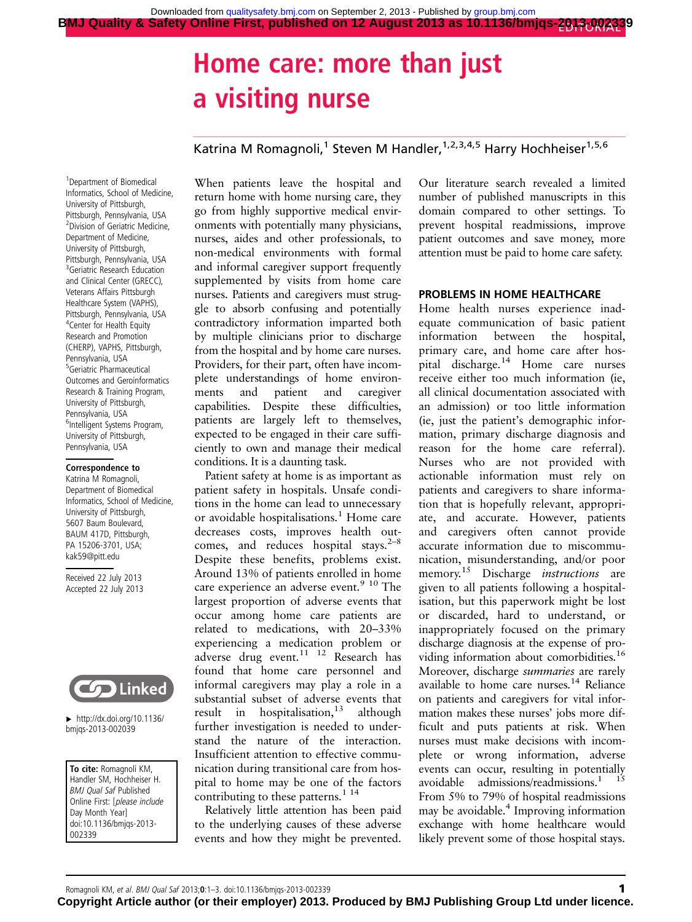# Home care: more than just a visiting nurse

# Katrina M Romagnoli,<sup>1</sup> Steven M Handler,<sup>1,2,3,4,5</sup> Harry Hochheiser<sup>1,5,6</sup>

1 Department of Biomedical Informatics, School of Medicine, University of Pittsburgh, Pittsburgh, Pennsylvania, USA <sup>2</sup> Division of Geriatric Medicine, Department of Medicine, University of Pittsburgh, Pittsburgh, Pennsylvania, USA <sup>3</sup> Geriatric Research Education and Clinical Center (GRECC), Veterans Affairs Pittsburgh Healthcare System (VAPHS), Pittsburgh, Pennsylvania, USA 4 Center for Health Equity Research and Promotion (CHERP), VAPHS, Pittsburgh, Pennsylvania, USA 5 Geriatric Pharmaceutical Outcomes and Geroinformatics Research & Training Program, University of Pittsburgh, Pennsylvania, USA <sup>6</sup>Intelligent Systems Program, University of Pittsburgh, Pennsylvania, USA

#### Correspondence to

Katrina M Romagnoli, Department of Biomedical Informatics, School of Medicine, University of Pittsburgh, 5607 Baum Boulevard, BAUM 417D, Pittsburgh, PA 15206-3701, USA; kak59@pitt.edu

Received 22 July 2013 Accepted 22 July 2013



 $\blacktriangleright$  [http://dx.doi.org/10.1136/](http://dx.doi.org/10.1136/bmjqs-2013-002039) [bmjqs-2013-002039](http://dx.doi.org/10.1136/bmjqs-2013-002039)

To cite: Romagnoli KM, Handler SM, Hochheiser H. BMJ Qual Saf Published Online First: [please include Day Month Year] doi:10.1136/bmjqs-2013- 002339

When patients leave the hospital and return home with home nursing care, they go from highly supportive medical environments with potentially many physicians, nurses, aides and other professionals, to non-medical environments with formal and informal caregiver support frequently supplemented by visits from home care nurses. Patients and caregivers must struggle to absorb confusing and potentially contradictory information imparted both by multiple clinicians prior to discharge from the hospital and by home care nurses. Providers, for their part, often have incomplete understandings of home environments and patient and caregiver capabilities. Despite these difficulties, patients are largely left to themselves, expected to be engaged in their care sufficiently to own and manage their medical conditions. It is a daunting task.

Patient safety at home is as important as patient safety in hospitals. Unsafe conditions in the home can lead to unnecessary or avoidable hospitalisations.<sup>1</sup> Home care decreases costs, improves health outcomes, and reduces hospital stays. $2^{-8}$ Despite these benefits, problems exist. Around 13% of patients enrolled in home care experience an adverse event.<sup>9 10</sup> The largest proportion of adverse events that occur among home care patients are related to medications, with 20–33% experiencing a medication problem or adverse drug event.<sup>11 12</sup> Research has found that home care personnel and informal caregivers may play a role in a substantial subset of adverse events that result in hospitalisation, $13$  although further investigation is needed to understand the nature of the interaction. Insufficient attention to effective communication during transitional care from hospital to home may be one of the factors contributing to these patterns.<sup>1 14</sup>

Relatively little attention has been paid to the underlying causes of these adverse events and how they might be prevented.

Our literature search revealed a limited number of published manuscripts in this domain compared to other settings. To prevent hospital readmissions, improve patient outcomes and save money, more attention must be paid to home care safety.

### PROBLEMS IN HOME HEALTHCARE

Home health nurses experience inadequate communication of basic patient information between the hospital, primary care, and home care after hospital discharge.<sup>14</sup> Home care nurses receive either too much information (ie, all clinical documentation associated with an admission) or too little information (ie, just the patient's demographic information, primary discharge diagnosis and reason for the home care referral). Nurses who are not provided with actionable information must rely on patients and caregivers to share information that is hopefully relevant, appropriate, and accurate. However, patients and caregivers often cannot provide accurate information due to miscommunication, misunderstanding, and/or poor memory.<sup>15</sup> Discharge *instructions* are given to all patients following a hospitalisation, but this paperwork might be lost or discarded, hard to understand, or inappropriately focused on the primary discharge diagnosis at the expense of providing information about comorbidities.<sup>16</sup> Moreover, discharge summaries are rarely available to home care nurses.<sup>14</sup> Reliance on patients and caregivers for vital information makes these nurses' jobs more difficult and puts patients at risk. When nurses must make decisions with incomplete or wrong information, adverse events can occur, resulting in potentially avoidable admissions/readmissions. $1^{15}$ From 5% to 79% of hospital readmissions may be avoidable.4 Improving information exchange with home healthcare would likely prevent some of those hospital stays.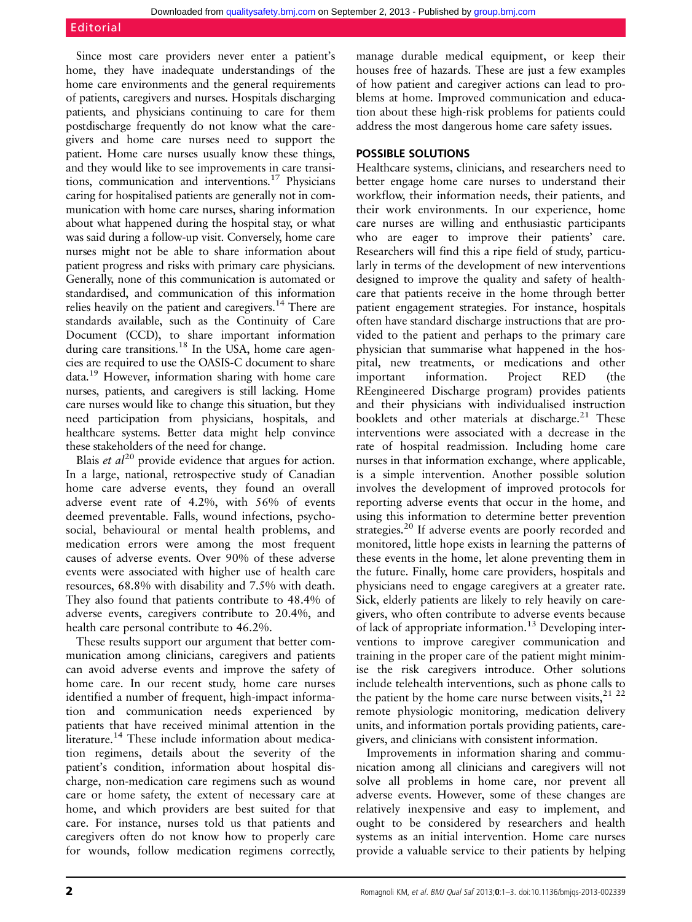## Editorial

Since most care providers never enter a patient's home, they have inadequate understandings of the home care environments and the general requirements of patients, caregivers and nurses. Hospitals discharging patients, and physicians continuing to care for them postdischarge frequently do not know what the caregivers and home care nurses need to support the patient. Home care nurses usually know these things, and they would like to see improvements in care transitions, communication and interventions.17 Physicians caring for hospitalised patients are generally not in communication with home care nurses, sharing information about what happened during the hospital stay, or what was said during a follow-up visit. Conversely, home care nurses might not be able to share information about patient progress and risks with primary care physicians. Generally, none of this communication is automated or standardised, and communication of this information relies heavily on the patient and caregivers.14 There are standards available, such as the Continuity of Care Document (CCD), to share important information during care transitions.<sup>18</sup> In the USA, home care agencies are required to use the OASIS-C document to share data.19 However, information sharing with home care nurses, patients, and caregivers is still lacking. Home care nurses would like to change this situation, but they need participation from physicians, hospitals, and healthcare systems. Better data might help convince these stakeholders of the need for change.

Blais *et al*<sup>20</sup> provide evidence that argues for action. In a large, national, retrospective study of Canadian home care adverse events, they found an overall adverse event rate of 4.2%, with 56% of events deemed preventable. Falls, wound infections, psychosocial, behavioural or mental health problems, and medication errors were among the most frequent causes of adverse events. Over 90% of these adverse events were associated with higher use of health care resources, 68.8% with disability and 7.5% with death. They also found that patients contribute to 48.4% of adverse events, caregivers contribute to 20.4%, and health care personal contribute to 46.2%.

These results support our argument that better communication among clinicians, caregivers and patients can avoid adverse events and improve the safety of home care. In our recent study, home care nurses identified a number of frequent, high-impact information and communication needs experienced by patients that have received minimal attention in the literature.<sup>14</sup> These include information about medication regimens, details about the severity of the patient's condition, information about hospital discharge, non-medication care regimens such as wound care or home safety, the extent of necessary care at home, and which providers are best suited for that care. For instance, nurses told us that patients and caregivers often do not know how to properly care for wounds, follow medication regimens correctly,

manage durable medical equipment, or keep their houses free of hazards. These are just a few examples of how patient and caregiver actions can lead to problems at home. Improved communication and education about these high-risk problems for patients could address the most dangerous home care safety issues.

# POSSIBLE SOLUTIONS

Healthcare systems, clinicians, and researchers need to better engage home care nurses to understand their workflow, their information needs, their patients, and their work environments. In our experience, home care nurses are willing and enthusiastic participants who are eager to improve their patients' care. Researchers will find this a ripe field of study, particularly in terms of the development of new interventions designed to improve the quality and safety of healthcare that patients receive in the home through better patient engagement strategies. For instance, hospitals often have standard discharge instructions that are provided to the patient and perhaps to the primary care physician that summarise what happened in the hospital, new treatments, or medications and other important information. Project RED (the REengineered Discharge program) provides patients and their physicians with individualised instruction booklets and other materials at discharge.<sup>21</sup> These interventions were associated with a decrease in the rate of hospital readmission. Including home care nurses in that information exchange, where applicable, is a simple intervention. Another possible solution involves the development of improved protocols for reporting adverse events that occur in the home, and using this information to determine better prevention strategies.<sup>20</sup> If adverse events are poorly recorded and monitored, little hope exists in learning the patterns of these events in the home, let alone preventing them in the future. Finally, home care providers, hospitals and physicians need to engage caregivers at a greater rate. Sick, elderly patients are likely to rely heavily on caregivers, who often contribute to adverse events because of lack of appropriate information.<sup>13</sup> Developing interventions to improve caregiver communication and training in the proper care of the patient might minimise the risk caregivers introduce. Other solutions include telehealth interventions, such as phone calls to the patient by the home care nurse between visits,  $2^{1}$   $2^{2}$ remote physiologic monitoring, medication delivery units, and information portals providing patients, caregivers, and clinicians with consistent information.

Improvements in information sharing and communication among all clinicians and caregivers will not solve all problems in home care, nor prevent all adverse events. However, some of these changes are relatively inexpensive and easy to implement, and ought to be considered by researchers and health systems as an initial intervention. Home care nurses provide a valuable service to their patients by helping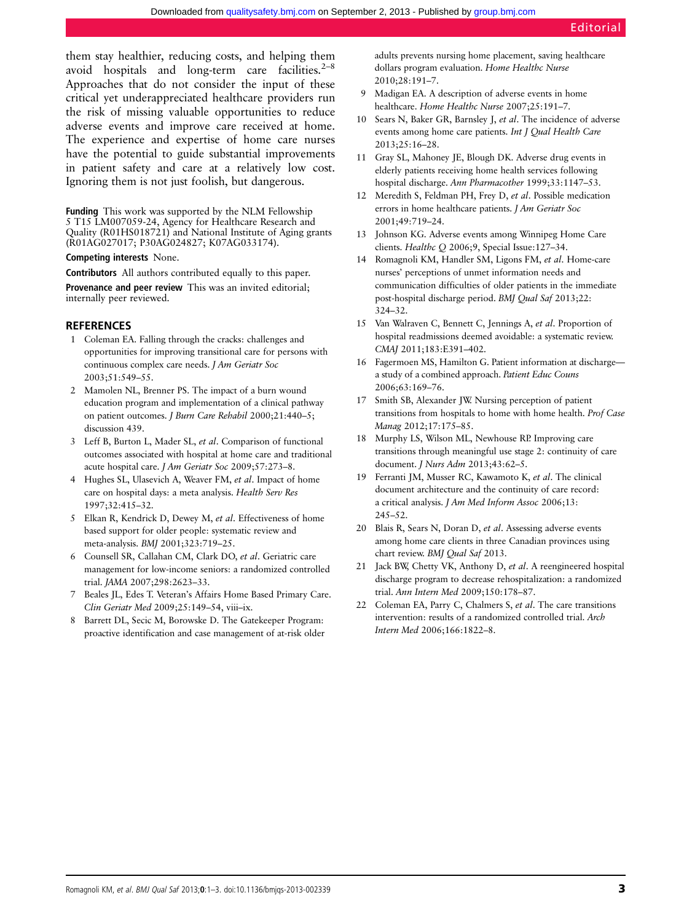them stay healthier, reducing costs, and helping them avoid hospitals and long-term care facilities. $2^{-8}$ Approaches that do not consider the input of these critical yet underappreciated healthcare providers run the risk of missing valuable opportunities to reduce adverse events and improve care received at home. The experience and expertise of home care nurses have the potential to guide substantial improvements in patient safety and care at a relatively low cost. Ignoring them is not just foolish, but dangerous.

Funding This work was supported by the NLM Fellowship 5 T15 LM007059-24, Agency for Healthcare Research and Quality (R01HS018721) and National Institute of Aging grants (R01AG027017; P30AG024827; K07AG033174).

#### Competing interests None.

Contributors All authors contributed equally to this paper.

Provenance and peer review This was an invited editorial; internally peer reviewed.

## REFERENCES

- 1 Coleman EA. Falling through the cracks: challenges and opportunities for improving transitional care for persons with continuous complex care needs. J Am Geriatr Soc 2003;51:549–55.
- 2 Mamolen NL, Brenner PS. The impact of a burn wound education program and implementation of a clinical pathway on patient outcomes. J Burn Care Rehabil 2000;21:440–5; discussion 439.
- 3 Leff B, Burton L, Mader SL, et al. Comparison of functional outcomes associated with hospital at home care and traditional acute hospital care. J Am Geriatr Soc 2009;57:273–8.
- 4 Hughes SL, Ulasevich A, Weaver FM, et al. Impact of home care on hospital days: a meta analysis. Health Serv Res 1997;32:415–32.
- 5 Elkan R, Kendrick D, Dewey M, et al. Effectiveness of home based support for older people: systematic review and meta-analysis. BMJ 2001;323:719–25.
- 6 Counsell SR, Callahan CM, Clark DO, et al. Geriatric care management for low-income seniors: a randomized controlled trial. JAMA 2007;298:2623–33.
- 7 Beales JL, Edes T. Veteran's Affairs Home Based Primary Care. Clin Geriatr Med 2009;25:149–54, viii–ix.
- 8 Barrett DL, Secic M, Borowske D. The Gatekeeper Program: proactive identification and case management of at-risk older

adults prevents nursing home placement, saving healthcare dollars program evaluation. Home Healthc Nurse 2010;28:191–7.

- 9 Madigan EA. A description of adverse events in home healthcare. Home Healthc Nurse 2007;25:191-7.
- 10 Sears N, Baker GR, Barnsley J, et al. The incidence of adverse events among home care patients. Int J Qual Health Care 2013;25:16–28.
- 11 Gray SL, Mahoney JE, Blough DK. Adverse drug events in elderly patients receiving home health services following hospital discharge. Ann Pharmacother 1999;33:1147–53.
- 12 Meredith S, Feldman PH, Frey D, et al. Possible medication errors in home healthcare patients. J Am Geriatr Soc 2001;49:719–24.
- 13 Johnson KG. Adverse events among Winnipeg Home Care clients. Healthc Q 2006;9, Special Issue:127–34.
- 14 Romagnoli KM, Handler SM, Ligons FM, et al. Home-care nurses' perceptions of unmet information needs and communication difficulties of older patients in the immediate post-hospital discharge period. BMJ Qual Saf 2013;22: 324–32.
- 15 Van Walraven C, Bennett C, Jennings A, et al. Proportion of hospital readmissions deemed avoidable: a systematic review. CMAJ 2011;183:E391–402.
- 16 Fagermoen MS, Hamilton G. Patient information at discharge a study of a combined approach. Patient Educ Couns 2006;63:169–76.
- 17 Smith SB, Alexander JW. Nursing perception of patient transitions from hospitals to home with home health. Prof Case Manag 2012;17:175–85.
- 18 Murphy LS, Wilson ML, Newhouse RP. Improving care transitions through meaningful use stage 2: continuity of care document. J Nurs Adm 2013;43:62–5.
- 19 Ferranti JM, Musser RC, Kawamoto K, et al. The clinical document architecture and the continuity of care record: a critical analysis. J Am Med Inform Assoc 2006;13: 245–52.
- 20 Blais R, Sears N, Doran D, et al. Assessing adverse events among home care clients in three Canadian provinces using chart review. BMJ Qual Saf 2013.
- 21 Jack BW, Chetty VK, Anthony D, et al. A reengineered hospital discharge program to decrease rehospitalization: a randomized trial. Ann Intern Med 2009;150:178–87.
- 22 Coleman EA, Parry C, Chalmers S, et al. The care transitions intervention: results of a randomized controlled trial. Arch Intern Med 2006;166:1822–8.